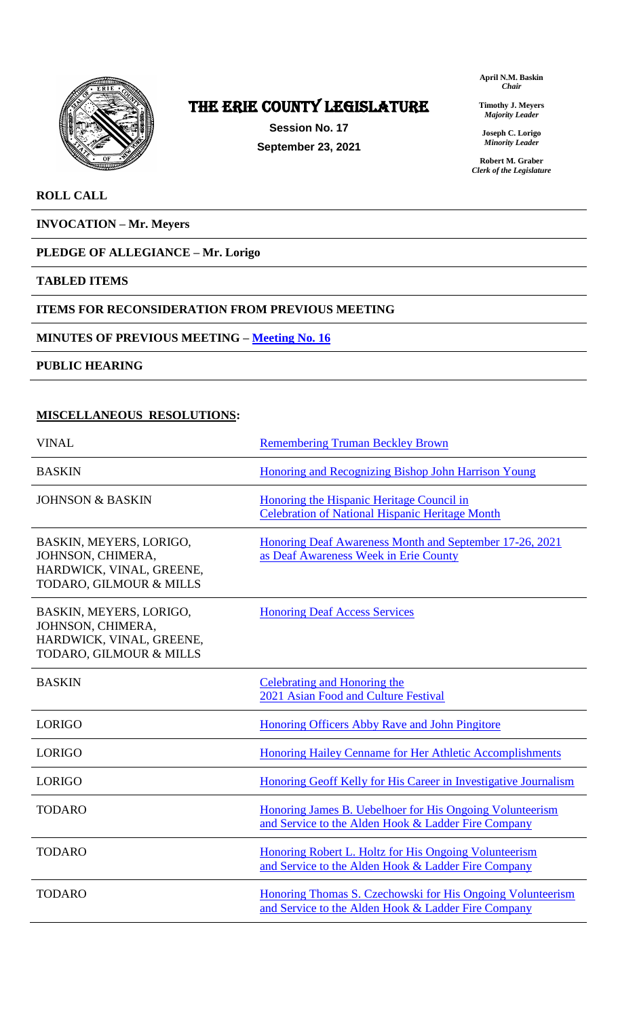

# The ERIE COUNTY LEGISLATURE

**Session No. 17 September 23, 2021** **April N.M. Baskin** *Chair*

**Timothy J. Meyers** *Majority Leader*

**Joseph C. Lorigo** *Minority Leader*

**Robert M. Graber** *Clerk of the Legislature*

## **ROLL CALL**

**INVOCATION – Mr. Meyers**

## **PLEDGE OF ALLEGIANCE – Mr. Lorigo**

## **TABLED ITEMS**

## **ITEMS FOR RECONSIDERATION FROM PREVIOUS MEETING**

## **MINUTES OF PREVIOUS MEETING – [Meeting No. 16](https://www2.erie.gov/legislature/sites/www2.erie.gov.legislature/files/uploads/Session_Folders/2021/17/Meeting%2016%20from%202021%20minutes.pdf)**

**PUBLIC HEARING**

## **MISCELLANEOUS RESOLUTIONS:**

| <b>VINAL</b>                                                                                        | <b>Remembering Truman Beckley Brown</b>                                                                           |
|-----------------------------------------------------------------------------------------------------|-------------------------------------------------------------------------------------------------------------------|
| <b>BASKIN</b>                                                                                       | <b>Honoring and Recognizing Bishop John Harrison Young</b>                                                        |
| <b>JOHNSON &amp; BASKIN</b>                                                                         | Honoring the Hispanic Heritage Council in<br><b>Celebration of National Hispanic Heritage Month</b>               |
| BASKIN, MEYERS, LORIGO,<br>JOHNSON, CHIMERA,<br>HARDWICK, VINAL, GREENE,<br>TODARO, GILMOUR & MILLS | Honoring Deaf Awareness Month and September 17-26, 2021<br>as Deaf Awareness Week in Erie County                  |
| BASKIN, MEYERS, LORIGO,<br>JOHNSON, CHIMERA,<br>HARDWICK, VINAL, GREENE,<br>TODARO, GILMOUR & MILLS | <b>Honoring Deaf Access Services</b>                                                                              |
| <b>BASKIN</b>                                                                                       | <b>Celebrating and Honoring the</b><br>2021 Asian Food and Culture Festival                                       |
| <b>LORIGO</b>                                                                                       | <b>Honoring Officers Abby Rave and John Pingitore</b>                                                             |
| <b>LORIGO</b>                                                                                       | Honoring Hailey Cenname for Her Athletic Accomplishments                                                          |
| <b>LORIGO</b>                                                                                       | Honoring Geoff Kelly for His Career in Investigative Journalism                                                   |
| <b>TODARO</b>                                                                                       | Honoring James B. Uebelhoer for His Ongoing Volunteerism<br>and Service to the Alden Hook & Ladder Fire Company   |
| <b>TODARO</b>                                                                                       | Honoring Robert L. Holtz for His Ongoing Volunteerism<br>and Service to the Alden Hook & Ladder Fire Company      |
| <b>TODARO</b>                                                                                       | Honoring Thomas S. Czechowski for His Ongoing Volunteerism<br>and Service to the Alden Hook & Ladder Fire Company |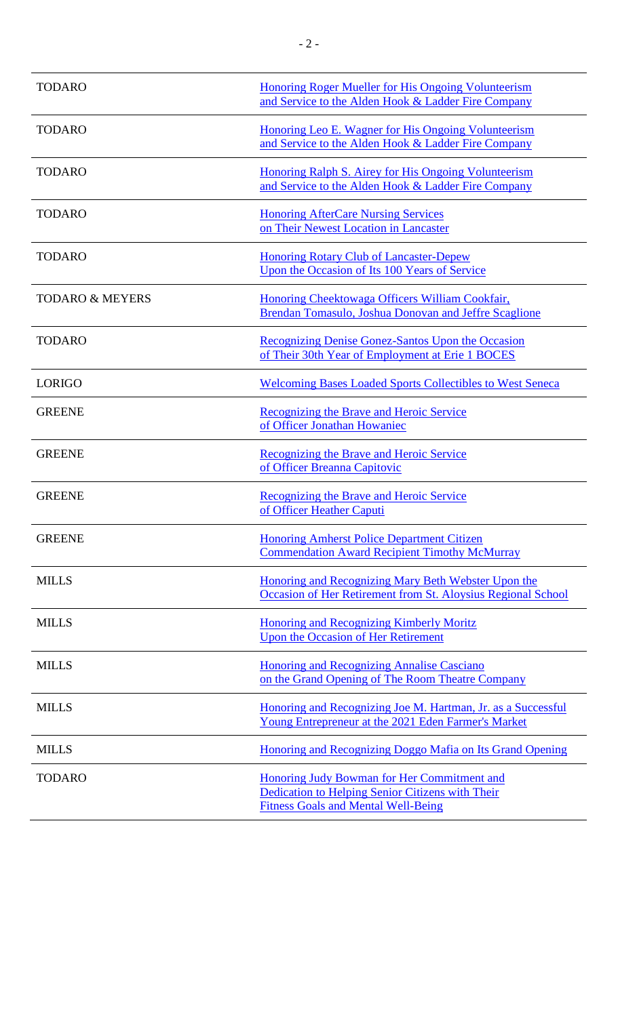| <b>TODARO</b>              | Honoring Roger Mueller for His Ongoing Volunteerism<br>and Service to the Alden Hook & Ladder Fire Company                                    |
|----------------------------|-----------------------------------------------------------------------------------------------------------------------------------------------|
| <b>TODARO</b>              | Honoring Leo E. Wagner for His Ongoing Volunteerism<br>and Service to the Alden Hook & Ladder Fire Company                                    |
| <b>TODARO</b>              | Honoring Ralph S. Airey for His Ongoing Volunteerism<br>and Service to the Alden Hook & Ladder Fire Company                                   |
| <b>TODARO</b>              | <b>Honoring AfterCare Nursing Services</b><br>on Their Newest Location in Lancaster                                                           |
| <b>TODARO</b>              | <b>Honoring Rotary Club of Lancaster-Depew</b><br>Upon the Occasion of Its 100 Years of Service                                               |
| <b>TODARO &amp; MEYERS</b> | Honoring Cheektowaga Officers William Cookfair,<br><b>Brendan Tomasulo, Joshua Donovan and Jeffre Scaglione</b>                               |
| <b>TODARO</b>              | <b>Recognizing Denise Gonez-Santos Upon the Occasion</b><br>of Their 30th Year of Employment at Erie 1 BOCES                                  |
| <b>LORIGO</b>              | <b>Welcoming Bases Loaded Sports Collectibles to West Seneca</b>                                                                              |
| <b>GREENE</b>              | Recognizing the Brave and Heroic Service<br>of Officer Jonathan Howaniec                                                                      |
| <b>GREENE</b>              | <b>Recognizing the Brave and Heroic Service</b><br>of Officer Breanna Capitovic                                                               |
| <b>GREENE</b>              | Recognizing the Brave and Heroic Service<br>of Officer Heather Caputi                                                                         |
| <b>GREENE</b>              | <b>Honoring Amherst Police Department Citizen</b><br><b>Commendation Award Recipient Timothy McMurray</b>                                     |
| <b>MILLS</b>               | Honoring and Recognizing Mary Beth Webster Upon the<br>Occasion of Her Retirement from St. Aloysius Regional School                           |
| <b>MILLS</b>               | <b>Honoring and Recognizing Kimberly Moritz</b><br><b>Upon the Occasion of Her Retirement</b>                                                 |
| <b>MILLS</b>               | <b>Honoring and Recognizing Annalise Casciano</b><br>on the Grand Opening of The Room Theatre Company                                         |
| <b>MILLS</b>               | Honoring and Recognizing Joe M. Hartman, Jr. as a Successful<br>Young Entrepreneur at the 2021 Eden Farmer's Market                           |
| <b>MILLS</b>               | Honoring and Recognizing Doggo Mafia on Its Grand Opening                                                                                     |
| <b>TODARO</b>              | Honoring Judy Bowman for Her Commitment and<br>Dedication to Helping Senior Citizens with Their<br><b>Fitness Goals and Mental Well-Being</b> |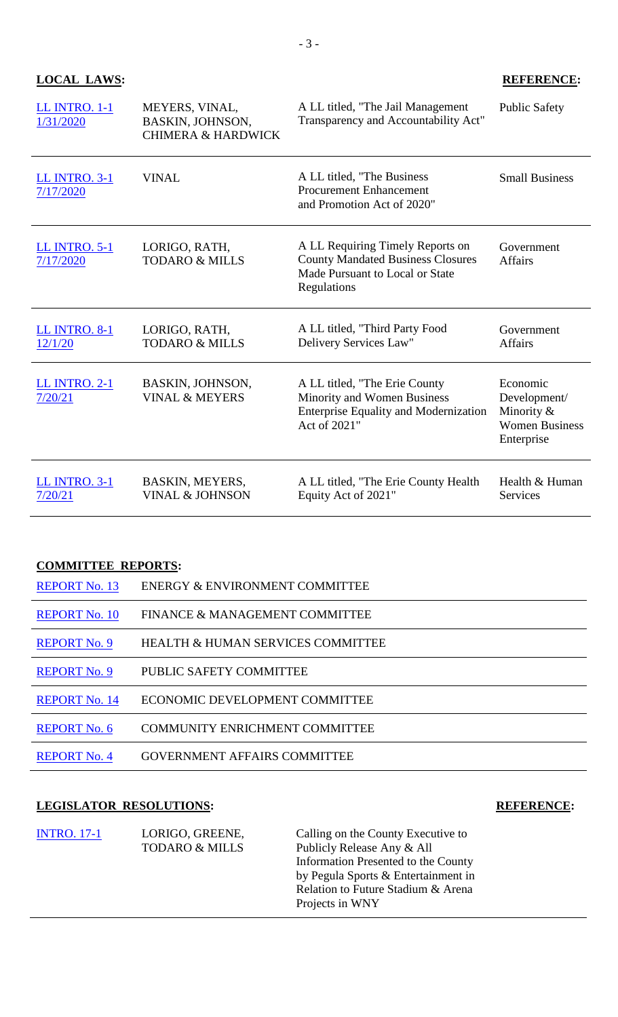## **LOCAL LAWS: REFERENCE:**

| LL INTRO. 1-1<br>1/31/2020        | MEYERS, VINAL,<br>BASKIN, JOHNSON,<br><b>CHIMERA &amp; HARDWICK</b> | A LL titled, "The Jail Management<br>Transparency and Accountability Act"                                                      | <b>Public Safety</b>                                                          |
|-----------------------------------|---------------------------------------------------------------------|--------------------------------------------------------------------------------------------------------------------------------|-------------------------------------------------------------------------------|
| <b>LL INTRO. 3-1</b><br>7/17/2020 | <b>VINAL</b>                                                        | A LL titled, "The Business"<br><b>Procurement Enhancement</b><br>and Promotion Act of 2020"                                    | <b>Small Business</b>                                                         |
| <b>LL INTRO. 5-1</b><br>7/17/2020 | LORIGO, RATH,<br><b>TODARO &amp; MILLS</b>                          | A LL Requiring Timely Reports on<br><b>County Mandated Business Closures</b><br>Made Pursuant to Local or State<br>Regulations | Government<br><b>Affairs</b>                                                  |
| <b>LL INTRO. 8-1</b><br>12/1/20   | LORIGO, RATH,<br><b>TODARO &amp; MILLS</b>                          | A LL titled, "Third Party Food<br>Delivery Services Law"                                                                       | Government<br><b>Affairs</b>                                                  |
| <b>LL INTRO. 2-1</b><br>7/20/21   | <b>BASKIN, JOHNSON,</b><br><b>VINAL &amp; MEYERS</b>                | A LL titled, "The Erie County"<br>Minority and Women Business<br><b>Enterprise Equality and Modernization</b><br>Act of 2021"  | Economic<br>Development/<br>Minority &<br><b>Women Business</b><br>Enterprise |
| <b>LL INTRO. 3-1</b><br>7/20/21   | BASKIN, MEYERS,<br><b>VINAL &amp; JOHNSON</b>                       | A LL titled, "The Erie County Health<br>Equity Act of 2021"                                                                    | Health & Human<br><b>Services</b>                                             |

## **COMMITTEE REPORTS:**

| <b>REPORT No. 13</b> | ENERGY & ENVIRONMENT COMMITTEE        |
|----------------------|---------------------------------------|
| <b>REPORT No. 10</b> | FINANCE & MANAGEMENT COMMITTEE        |
| <b>REPORT No. 9</b>  | HEALTH & HUMAN SERVICES COMMITTEE     |
| <b>REPORT No. 9</b>  | PUBLIC SAFETY COMMITTEE               |
| <b>REPORT No. 14</b> | ECONOMIC DEVELOPMENT COMMITTEE        |
| <b>REPORT No. 6</b>  | <b>COMMUNITY ENRICHMENT COMMITTEE</b> |
| <b>REPORT No. 4</b>  | <b>GOVERNMENT AFFAIRS COMMITTEE</b>   |

## **LEGISLATOR RESOLUTIONS: REFERENCE:**

| <b>INTRO.</b> 17-1<br>LORIGO, GREENE,<br><b>TODARO &amp; MILLS</b> | Calling on the County Executive to<br>Publicly Release Any & All<br>Information Presented to the County<br>by Pegula Sports & Entertainment in<br>Relation to Future Stadium & Arena<br>Projects in WNY |
|--------------------------------------------------------------------|---------------------------------------------------------------------------------------------------------------------------------------------------------------------------------------------------------|
|--------------------------------------------------------------------|---------------------------------------------------------------------------------------------------------------------------------------------------------------------------------------------------------|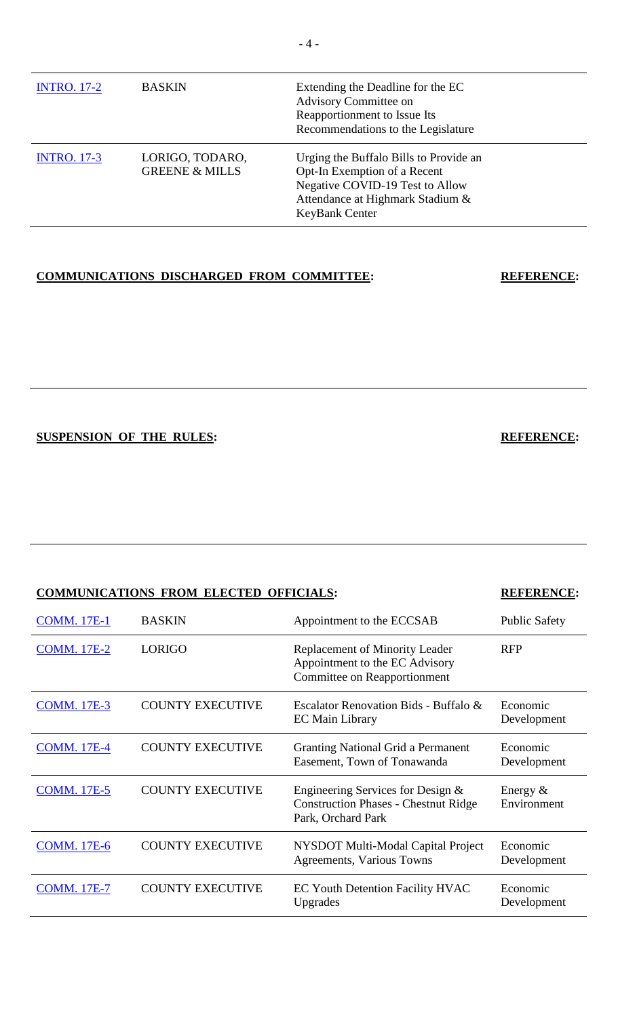| <b>INTRO.</b> 17-2 | <b>BASKIN</b>                                | Extending the Deadline for the EC<br>Advisory Committee on<br>Reapportionment to Issue Its<br>Recommendations to the Legislature                                |
|--------------------|----------------------------------------------|-----------------------------------------------------------------------------------------------------------------------------------------------------------------|
| <b>INTRO.</b> 17-3 | LORIGO, TODARO,<br><b>GREENE &amp; MILLS</b> | Urging the Buffalo Bills to Provide an<br>Opt-In Exemption of a Recent<br>Negative COVID-19 Test to Allow<br>Attendance at Highmark Stadium &<br>KeyBank Center |

# **COMMUNICATIONS DISCHARGED FROM COMMITTEE: REFERENCE:**

**SUSPENSION OF THE RULES: REFERENCE:**

| <b>COMMUNICATIONS FROM ELECTED OFFICIALS:</b> |                         |                                                                                                         | <b>REFERENCE:</b>         |
|-----------------------------------------------|-------------------------|---------------------------------------------------------------------------------------------------------|---------------------------|
| <b>COMM.</b> 17E-1                            | <b>BASKIN</b>           | Appointment to the ECCSAB                                                                               | <b>Public Safety</b>      |
| <b>COMM.</b> 17E-2                            | <b>LORIGO</b>           | <b>Replacement of Minority Leader</b><br>Appointment to the EC Advisory<br>Committee on Reapportionment | <b>RFP</b>                |
| <b>COMM.</b> 17E-3                            | <b>COUNTY EXECUTIVE</b> | Escalator Renovation Bids - Buffalo &<br><b>EC</b> Main Library                                         | Economic<br>Development   |
| <b>COMM.</b> 17E-4                            | <b>COUNTY EXECUTIVE</b> | <b>Granting National Grid a Permanent</b><br>Easement, Town of Tonawanda                                | Economic<br>Development   |
| <b>COMM. 17E-5</b>                            | <b>COUNTY EXECUTIVE</b> | Engineering Services for Design &<br><b>Construction Phases - Chestnut Ridge</b><br>Park, Orchard Park  | Energy $&$<br>Environment |
| <b>COMM. 17E-6</b>                            | <b>COUNTY EXECUTIVE</b> | NYSDOT Multi-Modal Capital Project<br>Agreements, Various Towns                                         | Economic<br>Development   |
| <b>COMM.</b> 17E-7                            | <b>COUNTY EXECUTIVE</b> | <b>EC Youth Detention Facility HVAC</b><br>Upgrades                                                     | Economic<br>Development   |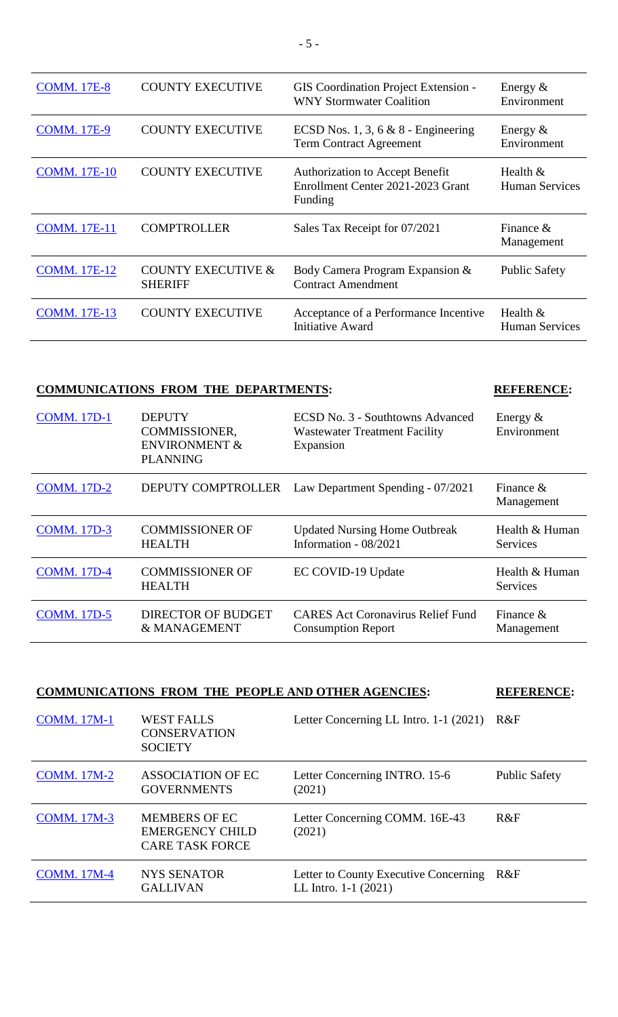| <b>COMM. 17E-8</b>  | <b>COUNTY EXECUTIVE</b>                         | <b>GIS</b> Coordination Project Extension -<br><b>WNY Stormwater Coalition</b>         | Energy $&$<br>Environment           |
|---------------------|-------------------------------------------------|----------------------------------------------------------------------------------------|-------------------------------------|
| <b>COMM.</b> 17E-9  | <b>COUNTY EXECUTIVE</b>                         | ECSD Nos. 1, 3, 6 $& 8$ - Engineering<br><b>Term Contract Agreement</b>                | Energy $&$<br>Environment           |
| <b>COMM.</b> 17E-10 | <b>COUNTY EXECUTIVE</b>                         | <b>Authorization to Accept Benefit</b><br>Enrollment Center 2021-2023 Grant<br>Funding | Health $&$<br><b>Human Services</b> |
| <b>COMM.</b> 17E-11 | <b>COMPTROLLER</b>                              | Sales Tax Receipt for 07/2021                                                          | Finance $\&$<br>Management          |
| <b>COMM.</b> 17E-12 | <b>COUNTY EXECUTIVE &amp;</b><br><b>SHERIFF</b> | Body Camera Program Expansion &<br><b>Contract Amendment</b>                           | <b>Public Safety</b>                |
| <b>COMM.</b> 17E-13 | <b>COUNTY EXECUTIVE</b>                         | Acceptance of a Performance Incentive<br><b>Initiative Award</b>                       | Health &<br><b>Human Services</b>   |

# **COMMUNICATIONS FROM THE DEPARTMENTS: REFERENCE:**

| <b>COMM.</b> 17D-1 | <b>DEPUTY</b><br>COMMISSIONER,<br><b>ENVIRONMENT &amp;</b><br><b>PLANNING</b> | ECSD No. 3 - Southtowns Advanced<br><b>Wastewater Treatment Facility</b><br>Expansion | Energy $\&$<br>Environment |
|--------------------|-------------------------------------------------------------------------------|---------------------------------------------------------------------------------------|----------------------------|
| <b>COMM.</b> 17D-2 | DEPUTY COMPTROLLER                                                            | Law Department Spending - 07/2021                                                     | Finance $\&$<br>Management |
| <b>COMM.</b> 17D-3 | <b>COMMISSIONER OF</b><br><b>HEALTH</b>                                       | <b>Updated Nursing Home Outbreak</b><br>Information - 08/2021                         | Health & Human<br>Services |
| <b>COMM.</b> 17D-4 | <b>COMMISSIONER OF</b><br><b>HEALTH</b>                                       | EC COVID-19 Update                                                                    | Health & Human<br>Services |
| <b>COMM.</b> 17D-5 | <b>DIRECTOR OF BUDGET</b><br>& MANAGEMENT                                     | <b>CARES Act Coronavirus Relief Fund</b><br><b>Consumption Report</b>                 | Finance $\&$<br>Management |

| <b>COMMUNICATIONS FROM THE PEOPLE AND OTHER AGENCIES:</b> |                                                                          |                                                                 | <b>REFERENCE:</b>    |
|-----------------------------------------------------------|--------------------------------------------------------------------------|-----------------------------------------------------------------|----------------------|
| <b>COMM.</b> 17M-1                                        | <b>WEST FALLS</b><br><b>CONSERVATION</b><br><b>SOCIETY</b>               | Letter Concerning LL Intro. 1-1 (2021)                          | R&F                  |
| <b>COMM.</b> 17M-2                                        | <b>ASSOCIATION OF EC</b><br><b>GOVERNMENTS</b>                           | Letter Concerning INTRO. 15-6<br>(2021)                         | <b>Public Safety</b> |
| <b>COMM.</b> 17M-3                                        | <b>MEMBERS OF EC</b><br><b>EMERGENCY CHILD</b><br><b>CARE TASK FORCE</b> | Letter Concerning COMM. 16E-43<br>(2021)                        | R&F                  |
| <b>COMM.</b> 17M-4                                        | <b>NYS SENATOR</b><br><b>GALLIVAN</b>                                    | Letter to County Executive Concerning<br>LL Intro. $1-1$ (2021) | R&F                  |